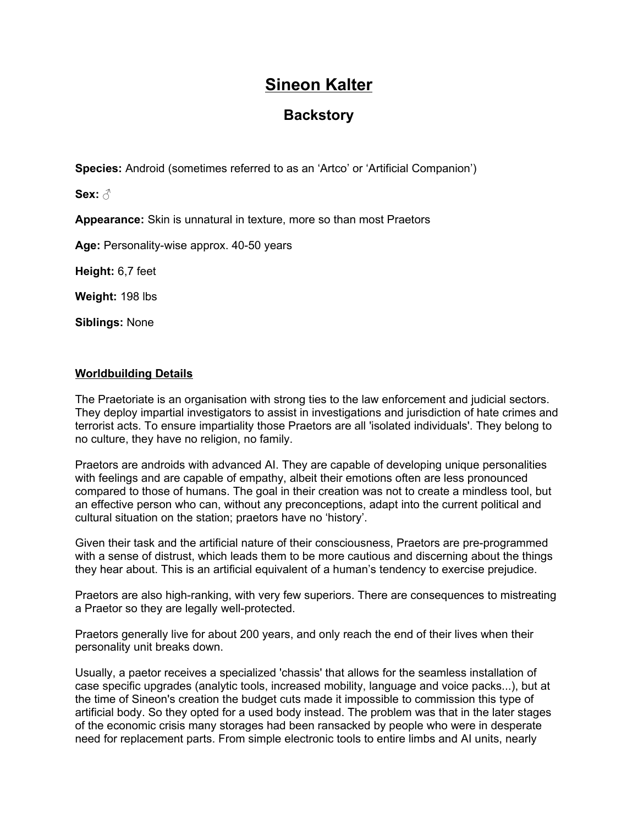# **Sineon Kalter**

# **Backstory**

**Species:** Android (sometimes referred to as an 'Artco' or 'Artificial Companion')

**Sex:** ♂

**Appearance:** Skin is unnatural in texture, more so than most Praetors

**Age:** Personality-wise approx. 40-50 years

**Height:** 6,7 feet

**Weight:** 198 lbs

**Siblings:** None

# **Worldbuilding Details**

The Praetoriate is an organisation with strong ties to the law enforcement and judicial sectors. They deploy impartial investigators to assist in investigations and jurisdiction of hate crimes and terrorist acts. To ensure impartiality those Praetors are all 'isolated individuals'. They belong to no culture, they have no religion, no family.

Praetors are androids with advanced AI. They are capable of developing unique personalities with feelings and are capable of empathy, albeit their emotions often are less pronounced compared to those of humans. The goal in their creation was not to create a mindless tool, but an effective person who can, without any preconceptions, adapt into the current political and cultural situation on the station; praetors have no 'history'.

Given their task and the artificial nature of their consciousness, Praetors are pre-programmed with a sense of distrust, which leads them to be more cautious and discerning about the things they hear about. This is an artificial equivalent of a human's tendency to exercise prejudice.

Praetors are also high-ranking, with very few superiors. There are consequences to mistreating a Praetor so they are legally well-protected.

Praetors generally live for about 200 years, and only reach the end of their lives when their personality unit breaks down.

Usually, a paetor receives a specialized 'chassis' that allows for the seamless installation of case specific upgrades (analytic tools, increased mobility, language and voice packs...), but at the time of Sineon's creation the budget cuts made it impossible to commission this type of artificial body. So they opted for a used body instead. The problem was that in the later stages of the economic crisis many storages had been ransacked by people who were in desperate need for replacement parts. From simple electronic tools to entire limbs and AI units, nearly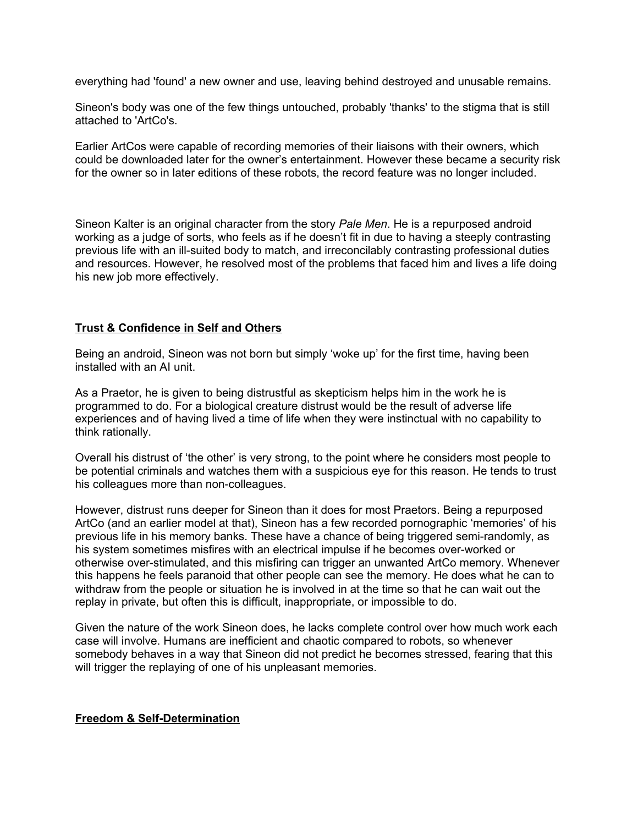everything had 'found' a new owner and use, leaving behind destroyed and unusable remains.

Sineon's body was one of the few things untouched, probably 'thanks' to the stigma that is still attached to 'ArtCo's.

Earlier ArtCos were capable of recording memories of their liaisons with their owners, which could be downloaded later for the owner's entertainment. However these became a security risk for the owner so in later editions of these robots, the record feature was no longer included.

Sineon Kalter is an original character from the story *Pale Men*. He is a repurposed android working as a judge of sorts, who feels as if he doesn't fit in due to having a steeply contrasting previous life with an ill-suited body to match, and irreconcilably contrasting professional duties and resources. However, he resolved most of the problems that faced him and lives a life doing his new job more effectively.

# **Trust & Confidence in Self and Others**

Being an android, Sineon was not born but simply 'woke up' for the first time, having been installed with an AI unit.

As a Praetor, he is given to being distrustful as skepticism helps him in the work he is programmed to do. For a biological creature distrust would be the result of adverse life experiences and of having lived a time of life when they were instinctual with no capability to think rationally.

Overall his distrust of 'the other' is very strong, to the point where he considers most people to be potential criminals and watches them with a suspicious eye for this reason. He tends to trust his colleagues more than non-colleagues.

However, distrust runs deeper for Sineon than it does for most Praetors. Being a repurposed ArtCo (and an earlier model at that), Sineon has a few recorded pornographic 'memories' of his previous life in his memory banks. These have a chance of being triggered semi-randomly, as his system sometimes misfires with an electrical impulse if he becomes over-worked or otherwise over-stimulated, and this misfiring can trigger an unwanted ArtCo memory. Whenever this happens he feels paranoid that other people can see the memory. He does what he can to withdraw from the people or situation he is involved in at the time so that he can wait out the replay in private, but often this is difficult, inappropriate, or impossible to do.

Given the nature of the work Sineon does, he lacks complete control over how much work each case will involve. Humans are inefficient and chaotic compared to robots, so whenever somebody behaves in a way that Sineon did not predict he becomes stressed, fearing that this will trigger the replaying of one of his unpleasant memories.

# **Freedom & Self-Determination**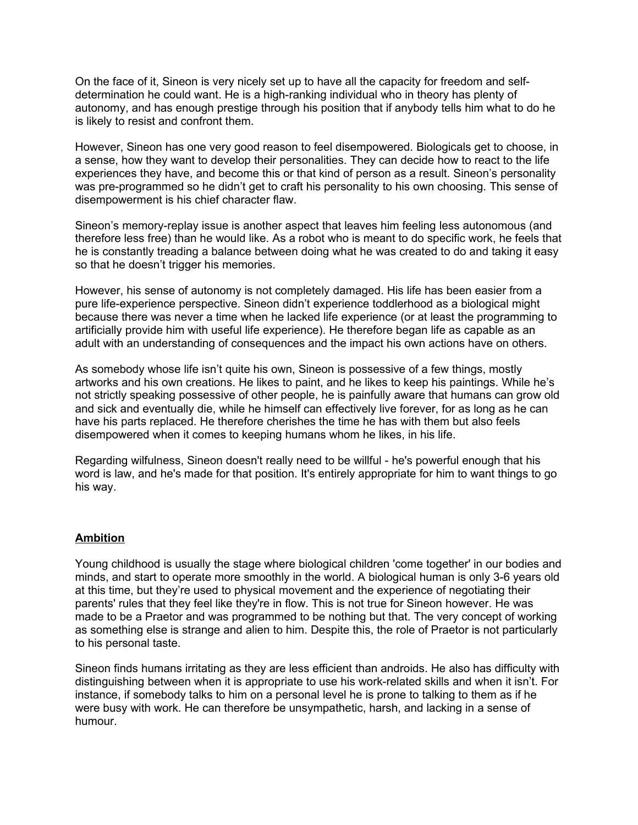On the face of it, Sineon is very nicely set up to have all the capacity for freedom and selfdetermination he could want. He is a high-ranking individual who in theory has plenty of autonomy, and has enough prestige through his position that if anybody tells him what to do he is likely to resist and confront them.

However, Sineon has one very good reason to feel disempowered. Biologicals get to choose, in a sense, how they want to develop their personalities. They can decide how to react to the life experiences they have, and become this or that kind of person as a result. Sineon's personality was pre-programmed so he didn't get to craft his personality to his own choosing. This sense of disempowerment is his chief character flaw.

Sineon's memory-replay issue is another aspect that leaves him feeling less autonomous (and therefore less free) than he would like. As a robot who is meant to do specific work, he feels that he is constantly treading a balance between doing what he was created to do and taking it easy so that he doesn't trigger his memories.

However, his sense of autonomy is not completely damaged. His life has been easier from a pure life-experience perspective. Sineon didn't experience toddlerhood as a biological might because there was never a time when he lacked life experience (or at least the programming to artificially provide him with useful life experience). He therefore began life as capable as an adult with an understanding of consequences and the impact his own actions have on others.

As somebody whose life isn't quite his own, Sineon is possessive of a few things, mostly artworks and his own creations. He likes to paint, and he likes to keep his paintings. While he's not strictly speaking possessive of other people, he is painfully aware that humans can grow old and sick and eventually die, while he himself can effectively live forever, for as long as he can have his parts replaced. He therefore cherishes the time he has with them but also feels disempowered when it comes to keeping humans whom he likes, in his life.

Regarding wilfulness, Sineon doesn't really need to be willful - he's powerful enough that his word is law, and he's made for that position. It's entirely appropriate for him to want things to go his way.

# **Ambition**

Young childhood is usually the stage where biological children 'come together' in our bodies and minds, and start to operate more smoothly in the world. A biological human is only 3-6 years old at this time, but they're used to physical movement and the experience of negotiating their parents' rules that they feel like they're in flow. This is not true for Sineon however. He was made to be a Praetor and was programmed to be nothing but that. The very concept of working as something else is strange and alien to him. Despite this, the role of Praetor is not particularly to his personal taste.

Sineon finds humans irritating as they are less efficient than androids. He also has difficulty with distinguishing between when it is appropriate to use his work-related skills and when it isn't. For instance, if somebody talks to him on a personal level he is prone to talking to them as if he were busy with work. He can therefore be unsympathetic, harsh, and lacking in a sense of humour.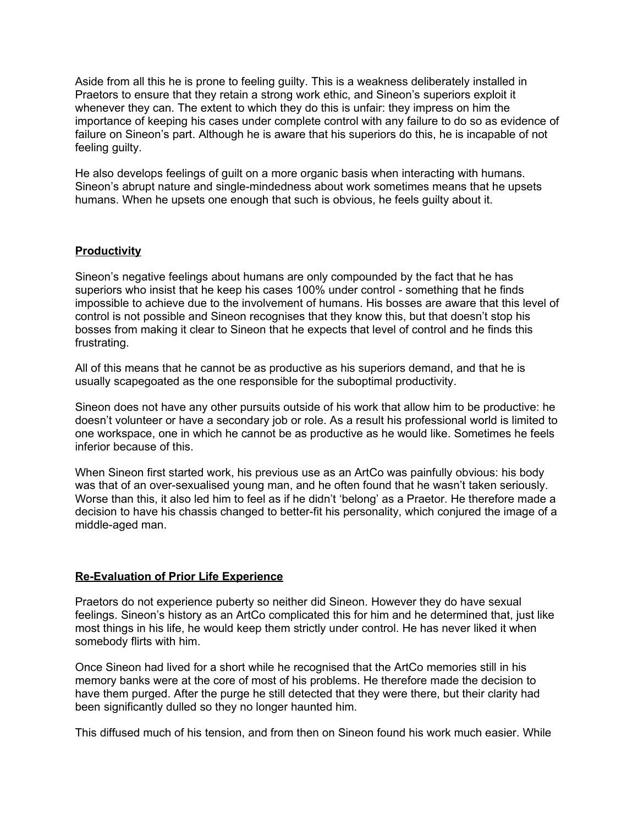Aside from all this he is prone to feeling guilty. This is a weakness deliberately installed in Praetors to ensure that they retain a strong work ethic, and Sineon's superiors exploit it whenever they can. The extent to which they do this is unfair: they impress on him the importance of keeping his cases under complete control with any failure to do so as evidence of failure on Sineon's part. Although he is aware that his superiors do this, he is incapable of not feeling guilty.

He also develops feelings of guilt on a more organic basis when interacting with humans. Sineon's abrupt nature and single-mindedness about work sometimes means that he upsets humans. When he upsets one enough that such is obvious, he feels guilty about it.

# **Productivity**

Sineon's negative feelings about humans are only compounded by the fact that he has superiors who insist that he keep his cases 100% under control - something that he finds impossible to achieve due to the involvement of humans. His bosses are aware that this level of control is not possible and Sineon recognises that they know this, but that doesn't stop his bosses from making it clear to Sineon that he expects that level of control and he finds this frustrating.

All of this means that he cannot be as productive as his superiors demand, and that he is usually scapegoated as the one responsible for the suboptimal productivity.

Sineon does not have any other pursuits outside of his work that allow him to be productive: he doesn't volunteer or have a secondary job or role. As a result his professional world is limited to one workspace, one in which he cannot be as productive as he would like. Sometimes he feels inferior because of this.

When Sineon first started work, his previous use as an ArtCo was painfully obvious: his body was that of an over-sexualised young man, and he often found that he wasn't taken seriously. Worse than this, it also led him to feel as if he didn't 'belong' as a Praetor. He therefore made a decision to have his chassis changed to better-fit his personality, which conjured the image of a middle-aged man.

#### **Re-Evaluation of Prior Life Experience**

Praetors do not experience puberty so neither did Sineon. However they do have sexual feelings. Sineon's history as an ArtCo complicated this for him and he determined that, just like most things in his life, he would keep them strictly under control. He has never liked it when somebody flirts with him.

Once Sineon had lived for a short while he recognised that the ArtCo memories still in his memory banks were at the core of most of his problems. He therefore made the decision to have them purged. After the purge he still detected that they were there, but their clarity had been significantly dulled so they no longer haunted him.

This diffused much of his tension, and from then on Sineon found his work much easier. While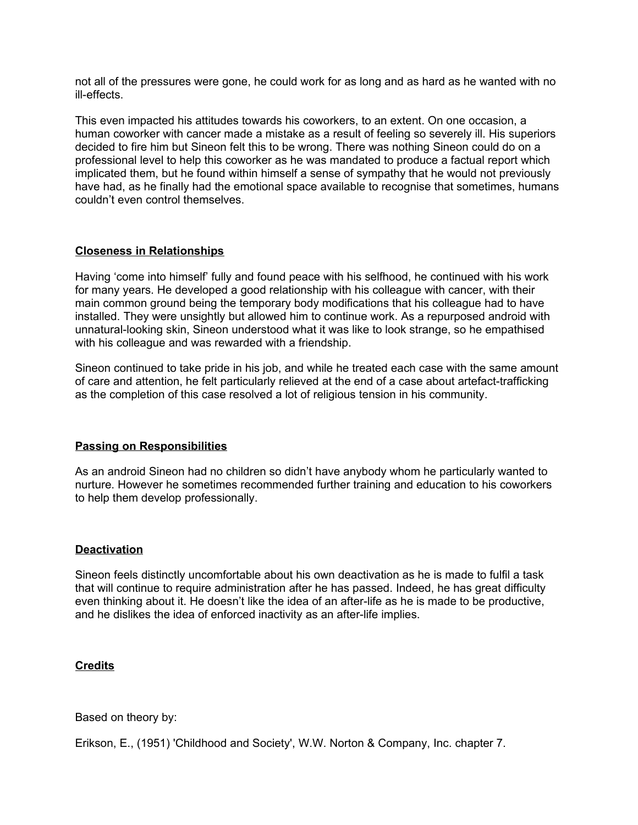not all of the pressures were gone, he could work for as long and as hard as he wanted with no ill-effects.

This even impacted his attitudes towards his coworkers, to an extent. On one occasion, a human coworker with cancer made a mistake as a result of feeling so severely ill. His superiors decided to fire him but Sineon felt this to be wrong. There was nothing Sineon could do on a professional level to help this coworker as he was mandated to produce a factual report which implicated them, but he found within himself a sense of sympathy that he would not previously have had, as he finally had the emotional space available to recognise that sometimes, humans couldn't even control themselves.

#### **Closeness in Relationships**

Having 'come into himself' fully and found peace with his selfhood, he continued with his work for many years. He developed a good relationship with his colleague with cancer, with their main common ground being the temporary body modifications that his colleague had to have installed. They were unsightly but allowed him to continue work. As a repurposed android with unnatural-looking skin, Sineon understood what it was like to look strange, so he empathised with his colleague and was rewarded with a friendship.

Sineon continued to take pride in his job, and while he treated each case with the same amount of care and attention, he felt particularly relieved at the end of a case about artefact-trafficking as the completion of this case resolved a lot of religious tension in his community.

# **Passing on Responsibilities**

As an android Sineon had no children so didn't have anybody whom he particularly wanted to nurture. However he sometimes recommended further training and education to his coworkers to help them develop professionally.

#### **Deactivation**

Sineon feels distinctly uncomfortable about his own deactivation as he is made to fulfil a task that will continue to require administration after he has passed. Indeed, he has great difficulty even thinking about it. He doesn't like the idea of an after-life as he is made to be productive, and he dislikes the idea of enforced inactivity as an after-life implies.

#### **Credits**

Based on theory by:

Erikson, E., (1951) 'Childhood and Society', W.W. Norton & Company, Inc. chapter 7.